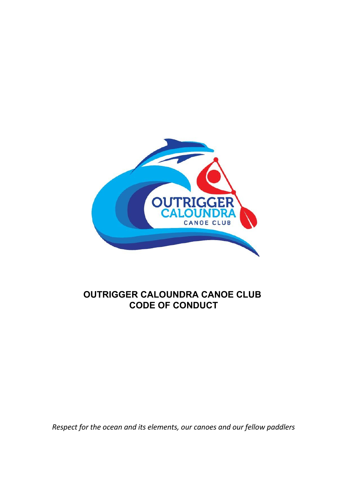

## **OUTRIGGER CALOUNDRA CANOE CLUB CODE OF CONDUCT**

*Respect for the ocean and its elements, our canoes and our fellow paddlers*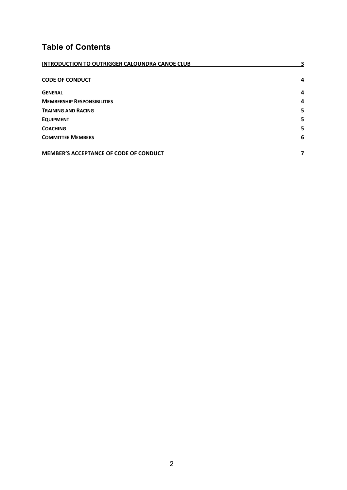# **Table of Contents**

| <b>INTRODUCTION TO OUTRIGGER CALOUNDRA CANOE CLUB</b> | 3 |
|-------------------------------------------------------|---|
| <b>CODE OF CONDUCT</b>                                | 4 |
| <b>GENERAL</b>                                        | 4 |
| <b>MEMBERSHIP RESPONSIBILITIES</b>                    | 4 |
| <b>TRAINING AND RACING</b>                            | 5 |
| <b>EQUIPMENT</b>                                      | 5 |
| <b>COACHING</b>                                       | 5 |
| <b>COMMITTEE MEMBERS</b>                              | 6 |
| <b>MEMBER'S ACCEPTANCE OF CODE OF CONDUCT</b>         | 7 |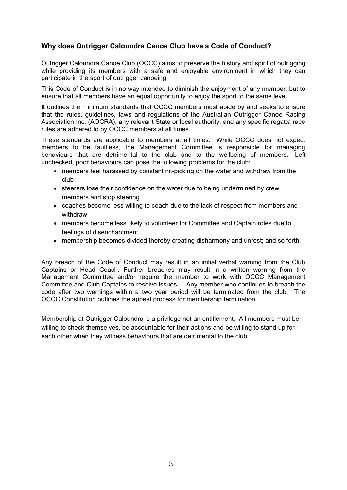### **Why does Outrigger Caloundra Canoe Club have a Code of Conduct?**

Outrigger Caloundra Canoe Club (OCCC) aims to preserve the history and spirit of outrigging while providing its members with a safe and enjoyable environment in which they can participate in the sport of outrigger canoeing.

This Code of Conduct is in no way intended to diminish the enjoyment of any member, but to ensure that all members have an equal opportunity to enjoy the sport to the same level.

It outlines the minimum standards that OCCC members must abide by and seeks to ensure that the rules, guidelines, laws and regulations of the Australian Outrigger Canoe Racing Association Inc. (AOCRA), any relevant State or local authority, and any specific regatta race rules are adhered to by OCCC members at all times.

These standards are applicable to members at all times. While OCCC does not expect members to be faultless, the Management Committee is responsible for managing behaviours that are detrimental to the club and to the wellbeing of members. Left unchecked, poor behaviours can pose the following problems for the club:

- members feel harassed by constant nit-picking on the water and withdraw from the club
- steerers lose their confidence on the water due to being undermined by crew members and stop steering
- coaches become less willing to coach due to the lack of respect from members and withdraw
- members become less likely to volunteer for Committee and Captain roles due to feelings of disenchantment
- membership becomes divided thereby creating disharmony and unrest; and so forth.

Any breach of the Code of Conduct may result in an initial verbal warning from the Club Captains or Head Coach. Further breaches may result in a written warning from the Management Committee and/or require the member to work with OCCC Management Committee and Club Captains to resolve issues. Any member who continues to breach the code after two warnings within a two year period will be terminated from the club. The OCCC Constitution outlines the appeal process for membership termination.

Membership at Outrigger Caloundra is a privilege not an entitlement. All members must be willing to check themselves, be accountable for their actions and be willing to stand up for each other when they witness behaviours that are detrimental to the club.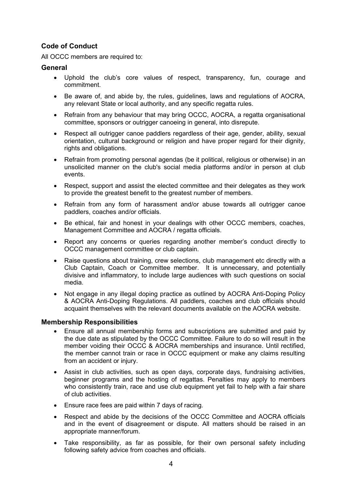### **Code of Conduct**

All OCCC members are required to:

#### **General**

- · Uphold the club's core values of respect, transparency, fun, courage and commitment.
- Be aware of, and abide by, the rules, quidelines, laws and regulations of AOCRA, any relevant State or local authority, and any specific regatta rules.
- Refrain from any behaviour that may bring OCCC, AOCRA, a regatta organisational committee, sponsors or outrigger canoeing in general, into disrepute.
- Respect all outrigger canoe paddlers regardless of their age, gender, ability, sexual orientation, cultural background or religion and have proper regard for their dignity, rights and obligations.
- Refrain from promoting personal agendas (be it political, religious or otherwise) in an unsolicited manner on the club's social media platforms and/or in person at club events.
- Respect, support and assist the elected committee and their delegates as they work to provide the greatest benefit to the greatest number of members.
- Refrain from any form of harassment and/or abuse towards all outrigger canoe paddlers, coaches and/or officials.
- Be ethical, fair and honest in your dealings with other OCCC members, coaches, Management Committee and AOCRA / regatta officials.
- Report any concerns or queries regarding another member's conduct directly to OCCC management committee or club captain.
- Raise questions about training, crew selections, club management etc directly with a Club Captain, Coach or Committee member. It is unnecessary, and potentially divisive and inflammatory, to include large audiences with such questions on social media.
- · Not engage in any illegal doping practice as outlined by AOCRA Anti-Doping Policy & AOCRA Anti-Doping Regulations. All paddlers, coaches and club officials should acquaint themselves with the relevant documents available on the AOCRA website.

#### **Membership Responsibilities**

- · Ensure all annual membership forms and subscriptions are submitted and paid by the due date as stipulated by the OCCC Committee. Failure to do so will result in the member voiding their OCCC & AOCRA memberships and insurance. Until rectified, the member cannot train or race in OCCC equipment or make any claims resulting from an accident or injury.
- Assist in club activities, such as open days, corporate days, fundraising activities, beginner programs and the hosting of regattas. Penalties may apply to members who consistently train, race and use club equipment yet fail to help with a fair share of club activities.
- Ensure race fees are paid within 7 days of racing.
- · Respect and abide by the decisions of the OCCC Committee and AOCRA officials and in the event of disagreement or dispute. All matters should be raised in an appropriate manner/forum.
- Take responsibility, as far as possible, for their own personal safety including following safety advice from coaches and officials.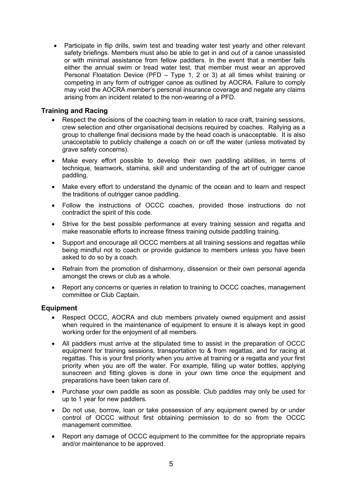· Participate in flip drills, swim test and treading water test yearly and other relevant safety briefings. Members must also be able to get in and out of a canoe unassisted or with minimal assistance from fellow paddlers. In the event that a member fails either the annual swim or tread water test, that member must wear an approved Personal Floatation Device (PFD – Type 1, 2 or 3) at all times whilst training or competing in any form of outrigger canoe as outlined by AOCRA. Failure to comply may void the AOCRA member's personal insurance coverage and negate any claims arising from an incident related to the non-wearing of a PFD.

#### **Training and Racing**

- · Respect the decisions of the coaching team in relation to race craft, training sessions, crew selection and other organisational decisions required by coaches. Rallying as a group to challenge final decisions made by the head coach is unacceptable. It is also unacceptable to publicly challenge a coach on or off the water (unless motivated by grave safety concerns).
- · Make every effort possible to develop their own paddling abilities, in terms of technique, teamwork, stamina, skill and understanding of the art of outrigger canoe paddling.
- · Make every effort to understand the dynamic of the ocean and to learn and respect the traditions of outrigger canoe paddling.
- · Follow the instructions of OCCC coaches, provided those instructions do not contradict the spirit of this code.
- · Strive for the best possible performance at every training session and regatta and make reasonable efforts to increase fitness training outside paddling training.
- · Support and encourage all OCCC members at all training sessions and regattas while being mindful not to coach or provide guidance to members unless you have been asked to do so by a coach.
- · Refrain from the promotion of disharmony, dissension or their own personal agenda amongst the crews or club as a whole.
- · Report any concerns or queries in relation to training to OCCC coaches, management committee or Club Captain.

#### **Equipment**

- Respect OCCC, AOCRA and club members privately owned equipment and assist when required in the maintenance of equipment to ensure it is always kept in good working order for the enjoyment of all members.
- · All paddlers must arrive at the stipulated time to assist in the preparation of OCCC equipment for training sessions, transportation to & from regattas, and for racing at regattas. This is your first priority when you arrive at training or a regatta and your first priority when you are off the water. For example, filling up water bottles, applying sunscreen and fitting gloves is done in your own time once the equipment and preparations have been taken care of.
- · Purchase your own paddle as soon as possible. Club paddles may only be used for up to 1 year for new paddlers.
- · Do not use, borrow, loan or take possession of any equipment owned by or under control of OCCC without first obtaining permission to do so from the OCCC management committee.
- · Report any damage of OCCC equipment to the committee for the appropriate repairs and/or maintenance to be approved.